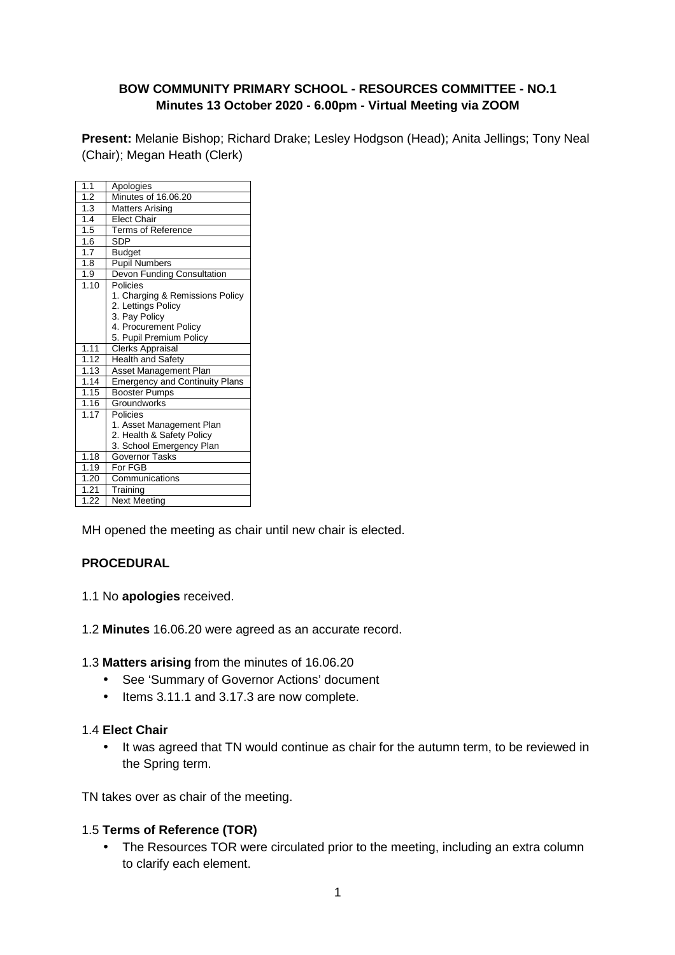#### **BOW COMMUNITY PRIMARY SCHOOL - RESOURCES COMMITTEE - NO.1 Minutes 13 October 2020 - 6.00pm - Virtual Meeting via ZOOM**

**Present:** Melanie Bishop; Richard Drake; Lesley Hodgson (Head); Anita Jellings; Tony Neal (Chair); Megan Heath (Clerk)

| 1.1  | Apologies                             |
|------|---------------------------------------|
| 1.2  | Minutes of 16,06,20                   |
| 1.3  | <b>Matters Arising</b>                |
| 1.4  | <b>Elect Chair</b>                    |
| 1.5  | <b>Terms of Reference</b>             |
| 1.6  | <b>SDP</b>                            |
| 1.7  | <b>Budget</b>                         |
| 1.8  | <b>Pupil Numbers</b>                  |
| 1.9  | Devon Funding Consultation            |
| 1.10 | Policies                              |
|      | 1. Charging & Remissions Policy       |
|      | 2. Lettings Policy                    |
|      | 3. Pay Policy                         |
|      | 4. Procurement Policy                 |
|      | 5. Pupil Premium Policy               |
| 1.11 | <b>Clerks Appraisal</b>               |
| 1.12 | <b>Health and Safety</b>              |
| 1.13 | <b>Asset Management Plan</b>          |
| 1.14 | <b>Emergency and Continuity Plans</b> |
| 1.15 | <b>Booster Pumps</b>                  |
| 1.16 | Groundworks                           |
| 1.17 | Policies                              |
|      | 1. Asset Management Plan              |
|      | 2. Health & Safety Policy             |
|      | 3. School Emergency Plan              |
| 1.18 | Governor Tasks                        |
| 1.19 | For FGB                               |
| 1.20 | Communications                        |
| 1.21 | Training                              |
| 1.22 | Next Meeting                          |

MH opened the meeting as chair until new chair is elected.

#### **PROCEDURAL**

- 1.1 No **apologies** received.
- 1.2 **Minutes** 16.06.20 were agreed as an accurate record.

1.3 **Matters arising** from the minutes of 16.06.20

- See 'Summary of Governor Actions' document
- Items 3.11.1 and 3.17.3 are now complete.

#### 1.4 **Elect Chair**

• It was agreed that TN would continue as chair for the autumn term, to be reviewed in the Spring term.

TN takes over as chair of the meeting.

#### 1.5 **Terms of Reference (TOR)**

• The Resources TOR were circulated prior to the meeting, including an extra column to clarify each element.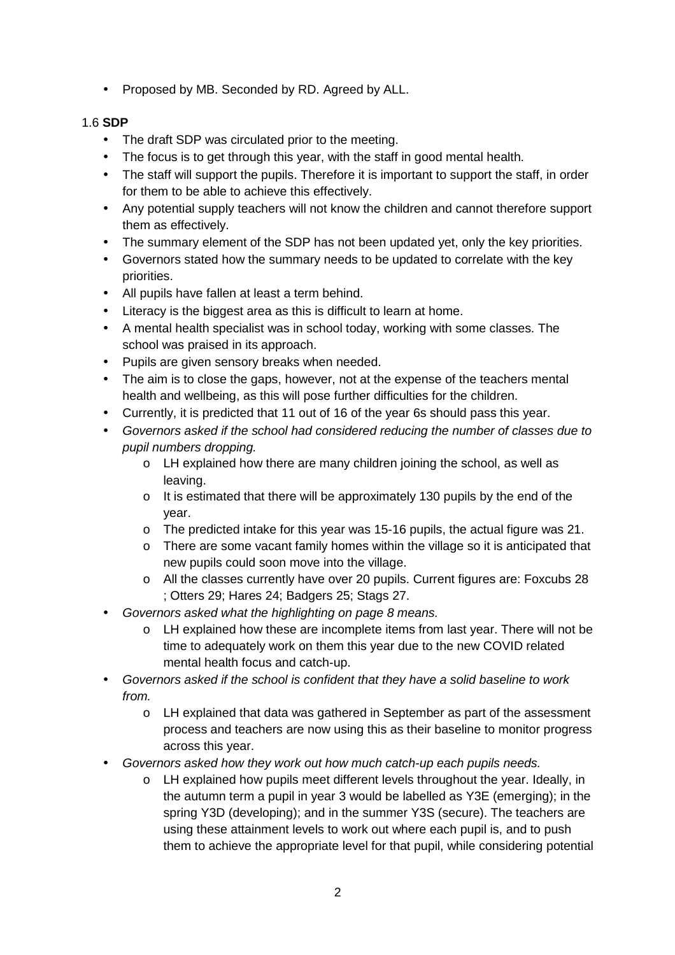• Proposed by MB. Seconded by RD. Agreed by ALL.

### 1.6 **SDP**

- The draft SDP was circulated prior to the meeting.
- The focus is to get through this year, with the staff in good mental health.
- The staff will support the pupils. Therefore it is important to support the staff, in order for them to be able to achieve this effectively.
- Any potential supply teachers will not know the children and cannot therefore support them as effectively.
- The summary element of the SDP has not been updated yet, only the key priorities.
- Governors stated how the summary needs to be updated to correlate with the key priorities.
- All pupils have fallen at least a term behind.
- Literacy is the biggest area as this is difficult to learn at home.
- A mental health specialist was in school today, working with some classes. The school was praised in its approach.
- Pupils are given sensory breaks when needed.
- The aim is to close the gaps, however, not at the expense of the teachers mental health and wellbeing, as this will pose further difficulties for the children.
- Currently, it is predicted that 11 out of 16 of the year 6s should pass this year.
- Governors asked if the school had considered reducing the number of classes due to pupil numbers dropping.
	- o LH explained how there are many children joining the school, as well as leaving.
	- $\circ$  It is estimated that there will be approximately 130 pupils by the end of the year.
	- o The predicted intake for this year was 15-16 pupils, the actual figure was 21.
	- o There are some vacant family homes within the village so it is anticipated that new pupils could soon move into the village.
	- o All the classes currently have over 20 pupils. Current figures are: Foxcubs 28 ; Otters 29; Hares 24; Badgers 25; Stags 27.
- Governors asked what the highlighting on page 8 means.
	- o LH explained how these are incomplete items from last year. There will not be time to adequately work on them this year due to the new COVID related mental health focus and catch-up.
- Governors asked if the school is confident that they have a solid baseline to work from.
	- o LH explained that data was gathered in September as part of the assessment process and teachers are now using this as their baseline to monitor progress across this year.
- Governors asked how they work out how much catch-up each pupils needs.
	- o LH explained how pupils meet different levels throughout the year. Ideally, in the autumn term a pupil in year 3 would be labelled as Y3E (emerging); in the spring Y3D (developing); and in the summer Y3S (secure). The teachers are using these attainment levels to work out where each pupil is, and to push them to achieve the appropriate level for that pupil, while considering potential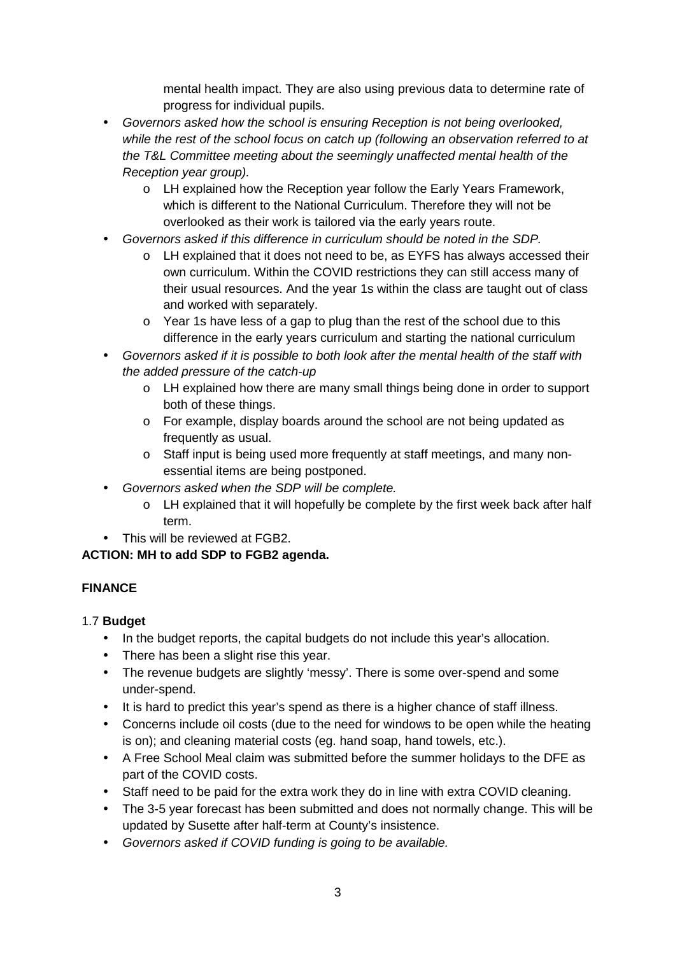mental health impact. They are also using previous data to determine rate of progress for individual pupils.

- Governors asked how the school is ensuring Reception is not being overlooked, while the rest of the school focus on catch up (following an observation referred to at the T&L Committee meeting about the seemingly unaffected mental health of the Reception year group).
	- o LH explained how the Reception year follow the Early Years Framework, which is different to the National Curriculum. Therefore they will not be overlooked as their work is tailored via the early years route.
- Governors asked if this difference in curriculum should be noted in the SDP.
	- o LH explained that it does not need to be, as EYFS has always accessed their own curriculum. Within the COVID restrictions they can still access many of their usual resources. And the year 1s within the class are taught out of class and worked with separately.
	- o Year 1s have less of a gap to plug than the rest of the school due to this difference in the early years curriculum and starting the national curriculum
- Governors asked if it is possible to both look after the mental health of the staff with the added pressure of the catch-up
	- o LH explained how there are many small things being done in order to support both of these things.
	- o For example, display boards around the school are not being updated as frequently as usual.
	- o Staff input is being used more frequently at staff meetings, and many nonessential items are being postponed.
- Governors asked when the SDP will be complete.
	- $\circ$  LH explained that it will hopefully be complete by the first week back after half term.
- This will be reviewed at FGB2.

## **ACTION: MH to add SDP to FGB2 agenda.**

## **FINANCE**

### 1.7 **Budget**

- In the budget reports, the capital budgets do not include this year's allocation.
- There has been a slight rise this year.
- The revenue budgets are slightly 'messy'. There is some over-spend and some under-spend.
- It is hard to predict this year's spend as there is a higher chance of staff illness.
- Concerns include oil costs (due to the need for windows to be open while the heating is on); and cleaning material costs (eg. hand soap, hand towels, etc.).
- A Free School Meal claim was submitted before the summer holidays to the DFE as part of the COVID costs.
- Staff need to be paid for the extra work they do in line with extra COVID cleaning.
- The 3-5 year forecast has been submitted and does not normally change. This will be updated by Susette after half-term at County's insistence.
- Governors asked if COVID funding is going to be available.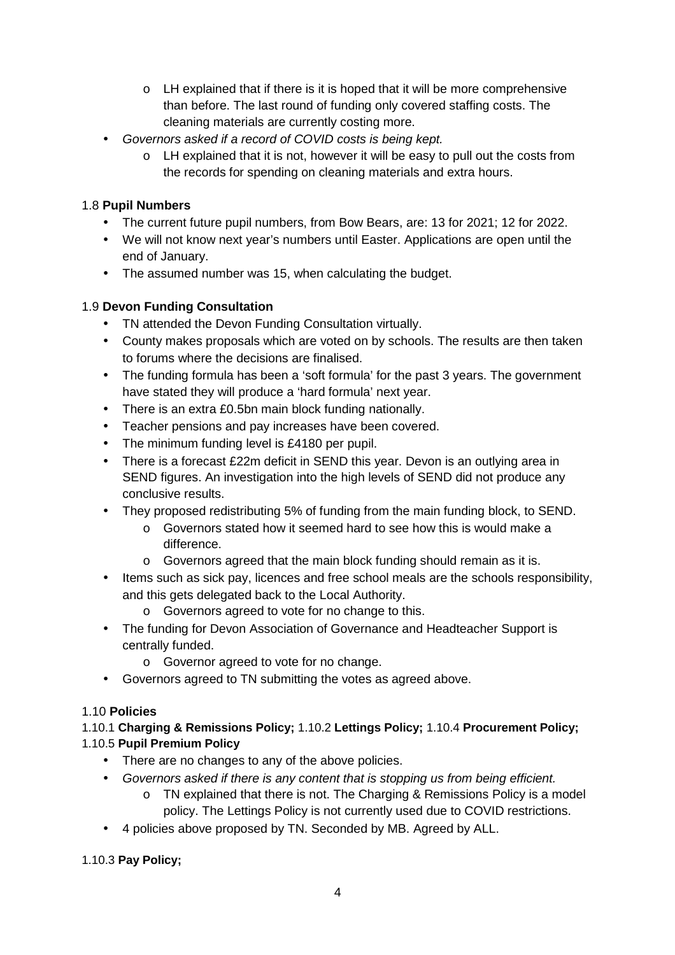- $\circ$  LH explained that if there is it is hoped that it will be more comprehensive than before. The last round of funding only covered staffing costs. The cleaning materials are currently costing more.
- Governors asked if a record of COVID costs is being kept.
	- o LH explained that it is not, however it will be easy to pull out the costs from the records for spending on cleaning materials and extra hours.

## 1.8 **Pupil Numbers**

- The current future pupil numbers, from Bow Bears, are: 13 for 2021; 12 for 2022.
- We will not know next year's numbers until Easter. Applications are open until the end of January.
- The assumed number was 15, when calculating the budget.

# 1.9 **Devon Funding Consultation**

- TN attended the Devon Funding Consultation virtually.
- County makes proposals which are voted on by schools. The results are then taken to forums where the decisions are finalised.
- The funding formula has been a 'soft formula' for the past 3 years. The government have stated they will produce a 'hard formula' next year.
- There is an extra £0.5bn main block funding nationally.
- Teacher pensions and pay increases have been covered.
- The minimum funding level is £4180 per pupil.
- There is a forecast £22m deficit in SEND this year. Devon is an outlying area in SEND figures. An investigation into the high levels of SEND did not produce any conclusive results.
- They proposed redistributing 5% of funding from the main funding block, to SEND.
	- o Governors stated how it seemed hard to see how this is would make a difference.
	- o Governors agreed that the main block funding should remain as it is.
- Items such as sick pay, licences and free school meals are the schools responsibility, and this gets delegated back to the Local Authority.
	- o Governors agreed to vote for no change to this.
- The funding for Devon Association of Governance and Headteacher Support is centrally funded.
	- o Governor agreed to vote for no change.
- Governors agreed to TN submitting the votes as agreed above.

# 1.10 **Policies**

## 1.10.1 **Charging & Remissions Policy;** 1.10.2 **Lettings Policy;** 1.10.4 **Procurement Policy;**  1.10.5 **Pupil Premium Policy**

- There are no changes to any of the above policies.
- Governors asked if there is any content that is stopping us from being efficient.
	- o TN explained that there is not. The Charging & Remissions Policy is a model policy. The Lettings Policy is not currently used due to COVID restrictions.
- 4 policies above proposed by TN. Seconded by MB. Agreed by ALL.

## 1.10.3 **Pay Policy;**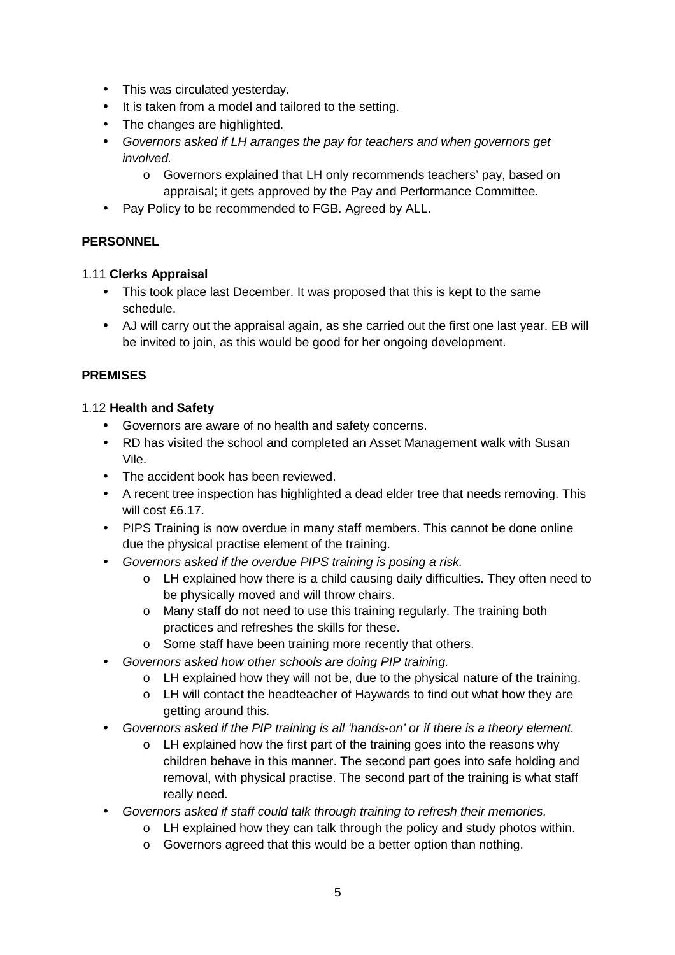- This was circulated yesterday.
- It is taken from a model and tailored to the setting.
- The changes are highlighted.
- Governors asked if LH arranges the pay for teachers and when governors get involved.
	- o Governors explained that LH only recommends teachers' pay, based on appraisal; it gets approved by the Pay and Performance Committee.
- Pay Policy to be recommended to FGB. Agreed by ALL.

### **PERSONNEL**

### 1.11 **Clerks Appraisal**

- This took place last December. It was proposed that this is kept to the same schedule.
- AJ will carry out the appraisal again, as she carried out the first one last year. EB will be invited to join, as this would be good for her ongoing development.

### **PREMISES**

### 1.12 **Health and Safety**

- Governors are aware of no health and safety concerns.
- RD has visited the school and completed an Asset Management walk with Susan Vile.
- The accident book has been reviewed.
- A recent tree inspection has highlighted a dead elder tree that needs removing. This will cost £6.17.
- PIPS Training is now overdue in many staff members. This cannot be done online due the physical practise element of the training.
- Governors asked if the overdue PIPS training is posing a risk.
	- o LH explained how there is a child causing daily difficulties. They often need to be physically moved and will throw chairs.
	- o Many staff do not need to use this training regularly. The training both practices and refreshes the skills for these.
	- o Some staff have been training more recently that others.
- Governors asked how other schools are doing PIP training.
	- $\circ$  LH explained how they will not be, due to the physical nature of the training.
	- o LH will contact the headteacher of Haywards to find out what how they are getting around this.
- Governors asked if the PIP training is all 'hands-on' or if there is a theory element.
	- o LH explained how the first part of the training goes into the reasons why children behave in this manner. The second part goes into safe holding and removal, with physical practise. The second part of the training is what staff really need.
- Governors asked if staff could talk through training to refresh their memories.
	- o LH explained how they can talk through the policy and study photos within.
	- o Governors agreed that this would be a better option than nothing.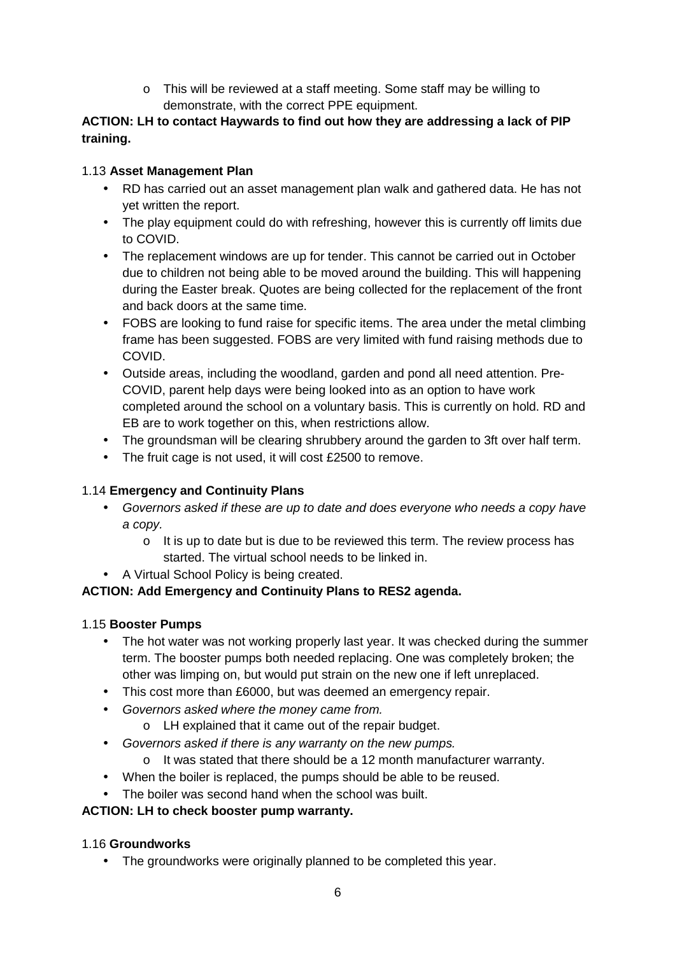o This will be reviewed at a staff meeting. Some staff may be willing to demonstrate, with the correct PPE equipment.

### **ACTION: LH to contact Haywards to find out how they are addressing a lack of PIP training.**

### 1.13 **Asset Management Plan**

- RD has carried out an asset management plan walk and gathered data. He has not yet written the report.
- The play equipment could do with refreshing, however this is currently off limits due to COVID.
- The replacement windows are up for tender. This cannot be carried out in October due to children not being able to be moved around the building. This will happening during the Easter break. Quotes are being collected for the replacement of the front and back doors at the same time.
- FOBS are looking to fund raise for specific items. The area under the metal climbing frame has been suggested. FOBS are very limited with fund raising methods due to COVID.
- Outside areas, including the woodland, garden and pond all need attention. Pre-COVID, parent help days were being looked into as an option to have work completed around the school on a voluntary basis. This is currently on hold. RD and EB are to work together on this, when restrictions allow.
- The groundsman will be clearing shrubbery around the garden to 3ft over half term.
- The fruit cage is not used, it will cost £2500 to remove.

## 1.14 **Emergency and Continuity Plans**

- Governors asked if these are up to date and does everyone who needs a copy have a copy.
	- o It is up to date but is due to be reviewed this term. The review process has started. The virtual school needs to be linked in.
- A Virtual School Policy is being created.

## **ACTION: Add Emergency and Continuity Plans to RES2 agenda.**

### 1.15 **Booster Pumps**

- The hot water was not working properly last year. It was checked during the summer term. The booster pumps both needed replacing. One was completely broken; the other was limping on, but would put strain on the new one if left unreplaced.
- This cost more than £6000, but was deemed an emergency repair.
- Governors asked where the money came from.
	- o LH explained that it came out of the repair budget.
- Governors asked if there is any warranty on the new pumps.
	- o It was stated that there should be a 12 month manufacturer warranty.
- When the boiler is replaced, the pumps should be able to be reused.
- The boiler was second hand when the school was built.

### **ACTION: LH to check booster pump warranty.**

### 1.16 **Groundworks**

• The groundworks were originally planned to be completed this year.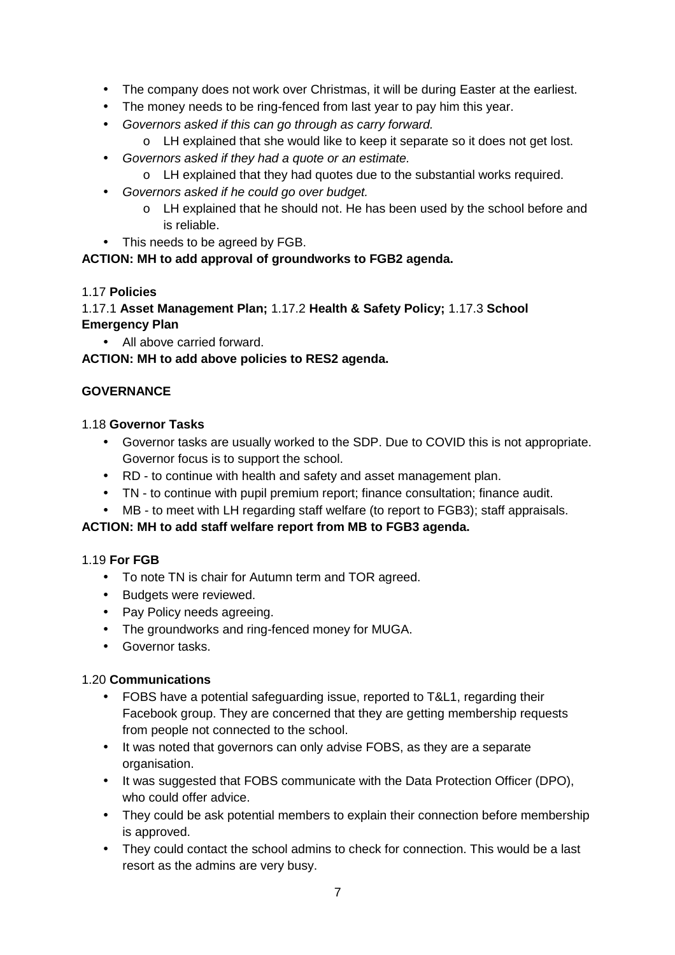- The company does not work over Christmas, it will be during Easter at the earliest.
- The money needs to be ring-fenced from last year to pay him this year.
- Governors asked if this can go through as carry forward.
	- o LH explained that she would like to keep it separate so it does not get lost.
- Governors asked if they had a quote or an estimate.
	- o LH explained that they had quotes due to the substantial works required.
- Governors asked if he could go over budget.
	- o LH explained that he should not. He has been used by the school before and is reliable.
- This needs to be agreed by FGB.

### **ACTION: MH to add approval of groundworks to FGB2 agenda.**

### 1.17 **Policies**

1.17.1 **Asset Management Plan;** 1.17.2 **Health & Safety Policy;** 1.17.3 **School Emergency Plan**

• All above carried forward.

**ACTION: MH to add above policies to RES2 agenda.** 

## **GOVERNANCE**

### 1.18 **Governor Tasks**

- Governor tasks are usually worked to the SDP. Due to COVID this is not appropriate. Governor focus is to support the school.
- RD to continue with health and safety and asset management plan.
- TN to continue with pupil premium report; finance consultation; finance audit.
- MB to meet with LH regarding staff welfare (to report to FGB3); staff appraisals.

### **ACTION: MH to add staff welfare report from MB to FGB3 agenda.**

### 1.19 **For FGB**

- To note TN is chair for Autumn term and TOR agreed.
- Budgets were reviewed.
- Pay Policy needs agreeing.
- The groundworks and ring-fenced money for MUGA.
- Governor tasks.

### 1.20 **Communications**

- FOBS have a potential safeguarding issue, reported to T&L1, regarding their Facebook group. They are concerned that they are getting membership requests from people not connected to the school.
- It was noted that governors can only advise FOBS, as they are a separate organisation.
- It was suggested that FOBS communicate with the Data Protection Officer (DPO), who could offer advice.
- They could be ask potential members to explain their connection before membership is approved.
- They could contact the school admins to check for connection. This would be a last resort as the admins are very busy.